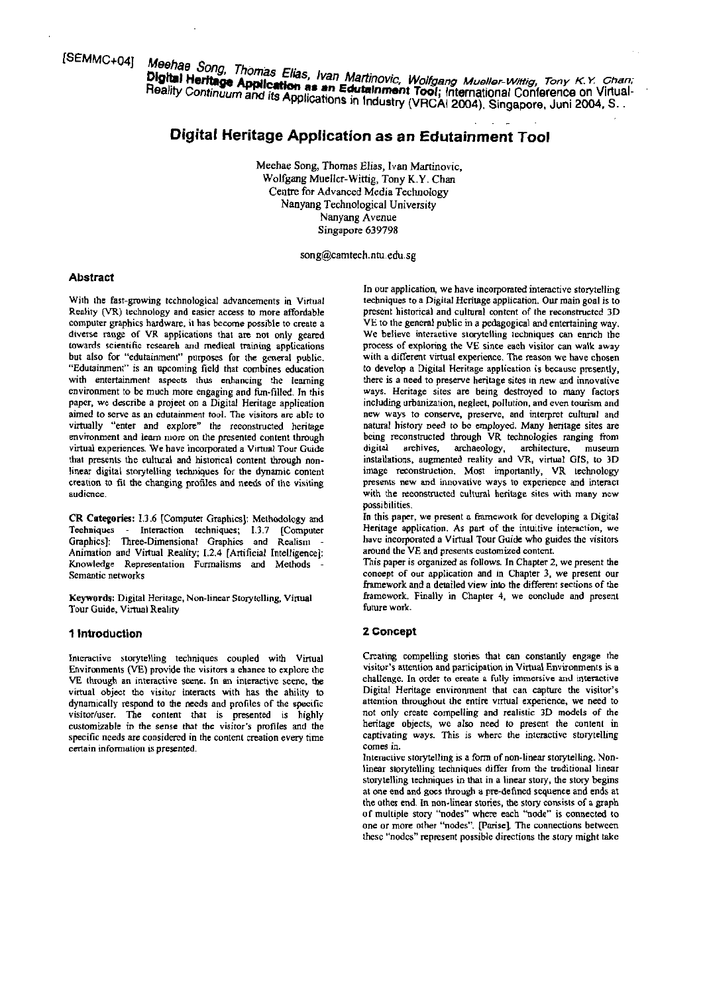Meehae Song, Thomas Elias, Ivan Martinovic, Wolfgang Mueller-Wittig, Tony K.Y. Chan. Digital Heritage Application as an Edutatinovic, Wolfgang Mueller-winig, 1917 1911.<br>Bealty Cartiage Application as an Edutationent Tool; International Conference on Virtual-Reality Continuum and its Applications in Industry (VRCAI 2004). Singapore, Juni 2004, S.

# Digital Heritage Application as an Edutainment Tool

Meehae Song, Thomas Elias, Ivan Martinovic. Wolfgang Mueller-Wittig, Tony K.Y. Chan Centre for Advanced Media Technology Nanyang Technological University Nanyang Avenue Singapore 639798

song@camtech.ntu.edu.sg

# **Abstract**

With the fast-growing technological advancements in Virtual Reality (VR) technology and easier access to more affordable computer graphics hardware, it has become possible to create a diverse range of VR applications that are not only geared towards scientific research and medical training applications but also for "edutainment" purposes for the general public. "Edutainment" is an upcoming field that combines education with entertainment aspects thus enhancing the learning environment to be much more engaging and fun-filled. In this paper, we describe a project on a Digital Heritage application aimed to serve as an edutamment tool. The visitors are able to virtually "enter and explore" the reconstructed heritage environment and learn more on the presented content through virtual experiences. We have incorporated a Virtual Tour Guide that presents the cultural and historical content through nonlinear digital storytelling techniques for the dynamic content creation to fit the changing profiles and needs of the visiting audience.

CR Categories: I.3.6 [Computer Graphics]: Methodology and Teehniques - Interaction techniques; I.3.7 [Computer Graphics]: Three-Dimensional Graphics and Realism -Animation and Virtual Reality; I.2.4 [Artificial Intelligence]: Knowledge Representation Formalisms and Methods Semantic networks

Keywords: Digital Heritage, Non-linear Storytelling, Virtual Tour Guide, Virtual Reality

# 1 Introduction

Interactive storytelling techniques coupled with Virtual Environments (VE) provide the visitors a chance to explore the VE through an interactive seene. In an interactive seene, the virtual object the visitor interacts with has the ahility to dynamically respond to the needs and profiles of the specific visitor/user. The content that is presented is highly customizable in the sense that the visitor's profiles and the specific needs are considered in the content creation every time certain information is presented.

In our application, we have incorporated interactive storytelling techniques to a Digital Heritage application. Our main goal is to present historical and cultural content of the reconstructed 3D VE to the general public in a pedagogical and entertaining way. We believe interactive storytelling techniques can enrich the process of exploring the VE since each visitor can walk away with a different virtual experience. The reason we have chosen to develop a Digital Heritage application is because presently, there is a need to preserve heritage sites in new and innovative ways. Heritage sites are being destroyed to many factors including urbanization, negleet, pollution, and even tourism and new ways to conserve, preserve, and interpret cultural and natural history need to be employed. Many heritage sites are being reconstructed through VR technologies ranging from arehives, archaeology, digital architecture, museum installations, augmented reality and VR, virtual GIS, to 3D image reconstruction. Most importantly, VR technology presents new and innovative ways to experience and interact with the reconstructed cultural heritage sites with many new possibilities.

In this paper, we present a framework for developing a Digital Heritage application. As part of the intuitive interaction, we have incorporated a Virtual Tour Guide who guides the visitors around the VE and presents eustomized content.

This paper is organized as follows. In Chapter 2, we present the concept of our application and in Chapter 3, we present our framework and a detailed view into the different sections of the framework. Finally in Chapter 4, we conclude and present future work.

## 2 Concept

Creating compelling stories that can constantly engage the visitor's attention and participation in Virtual Environments is a challenge. In order to ereate a fully immersive and interactive Digital Heritage environment that can capture the visitor's attention throughout the entire virtual experience, we need to not only create compelling and realistic 3D models of the heritage objects, we also need to present the content in captivating ways. This is where the interactive storytelling comes in.

Interactive storytelling is a form of non-linear storytelling. Nonlinear storytelling techniques differ from the traditional linear storytelling techniques in that in a linear story, the story begins at one end and goes through a pre-defined sequence and ends at the other end. In non-linear stories, the story consists of a graph of multiple story "nodes" where each "node" is connected to one or more other "nodes". [Parise]. The connections between these "nodes" represent possible directions the story might take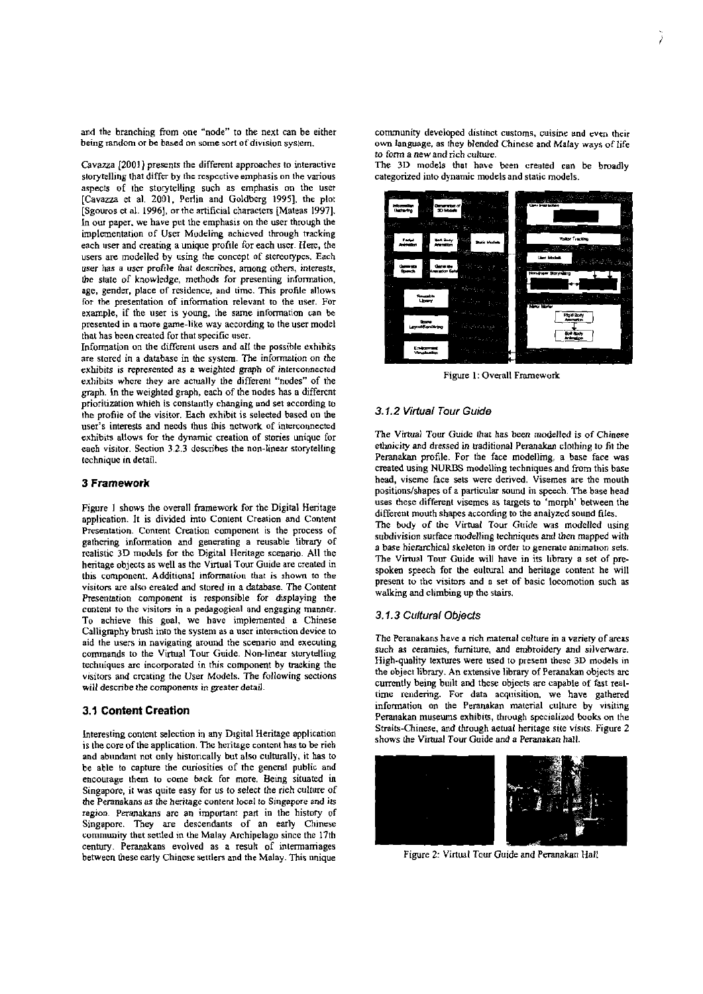and the branching from one "node" to the next can be either community developed distinct customs, cuisine and even their<br>being random or be based on some sort of division system, when hanguage, as they blended Chinese and

Cavazza [2001] presents the different approaches to interactive The 3D models that have been created can be broadly storytelling that differ by the respective emphasis on the various categorized into dynamic models and sta storytelling that differ by the respective emphasis on the various aspects of the storytelling such as emphasis **on** the user [Cavazza et al. 2001, Perlin and Goldberg 1995], the plot [Sgouros ct **nl.** 19961, **or** the artificial characters [Mateas 19971. In our paper, we have put the emphasis on the user through the implementation of User Mudeling achicved through tracking each user and ereating **a** unique profile for each user **Here.** the users **are** modelled by using the concept af stereotypes. Each **usrr** *has* **a** user profile that dercnbes, arnong othen, interests, the state of knowledge, methods for presenting information, age, gender, place of residence, and time. This profile allows for the presentation of infomation relevant to the **user.** For example, if the user is young, the same information can be pressnted in **n** more game-like way according to the user model that has been created for that specific user.

Information on the different users and all the possible exhibits are stored in a database in the system. The information on the exhibits is represented as a weighted **graph** of intetconnected exhibits where they are actually the different "nodes" of the graph. in the weighted graph, each of the nodes has a diffexnt prioritization whieh is constantly changing and set according to the profile of the visitor. Each exhibit is selected based on the user's interests and needs thus this network of interconnected exhibits allows for the dynamic creation of stories unique for eaeh visitor. Section 32.3 describes the non-linear storytelling technique in detaii.

#### **3 Framework**

Figure 1 shows the overall framework for the Digital Heritage application. It is divided into Content Creation and Content Presentation. Content Creation component is the process of gathering infomation and generating a reusable library of realistic 3D mudels **for** thc Digital Heritage scenario. All the heritage objects as well **as** the Vimial Tour Guide are created in this component. Additional information that is shown to the visitors are also ereated and stored in a database. The Content Presentation component is responsible for displaying the content to the visitors in a pedagogieal and engaging manner. To achieve this eoal. we have imolemented a Chinese ~~lligm~h~ bmsh into the system **ar a ukr** interactiondeviee tn aid the users in navigating around the scenario and executing commands to the Virtual Tour Guide. Non-linear sturytelling techniques are incorporated in this component by tracking the visitors and creating the User Models. The following sections will describe the components in greater detail.

is the core of the application. The heritage content has to be rieh and abundant not only historically but also culturally, it has to be able to capture the curiosities of the general public and encourage them to come back for more. Being situated in Singapore, it was quite easy for us to select the rich culture of the Peranakans as the heritage content local to Singapore and its region. Peranakans are an important part in the history of Singapore. They are descendants of an early Chinese community that settled in the Malay Archipelago since the 17th century. Peranakans evolved as a result of intermarriages between these early Chinese settlers and the Malay. This unique

own language, as they blended Chinese and Malay ways of life to fom a new and rich cultwe.



Figure 1: Overall Framework

#### **3.1.2 Virfual Tour Guide**

The Virtual Tour Guide that has been modelled is of Chinese ethnicity and dressed in traditional Peranakan clothing to fit the Peranakan profile. For the face modelling, a base face was created using NURBS modelling techniques and fiom this base head, viseme face sets were derived. Visemes are the mouth positions/shapes of a particular sound in speech. The base head uses these different visemes as targets to 'morph' between the different mouth shapes according to the analyzed sound files. The body of the Virtual Tour Guide was modelled using subdivisian surface modelling techniques and ihen mapped with a base hierarchical skeleton in order to generate animation sets. **The** Vimial Tour Guide will have in its Iibrary a set of prespoken speech for the eultwal and heritage content he will present to the visitors and a set of basic locomotion such as walking and climbing up the stairs.

# **3.1.3 Cultural Objects**

The Peranakans have a rich material culture in a variety of areas such as ceramies, furniture, and embroidery and silverware. High-quality textwes were used **to** pressnt thesc 3D models in the object library. An extensive library of Peranakan objects arc currently being built and these objects are capable of fast realtime rendering. For data acquisition, we have gathered **3.1 Content Creation information** on the Peranakan material culture by visiting Peranakan museums exhibits, through specialized books on the Interesting content selection in any Digital Heritage application Straits-Chinese, and through aetual heritage site visits. Figure 2<br>shows the Virtual Tour Guide and a Peranakan hall.



Figure 2: Virtual Tour Guide and Peranakan Hall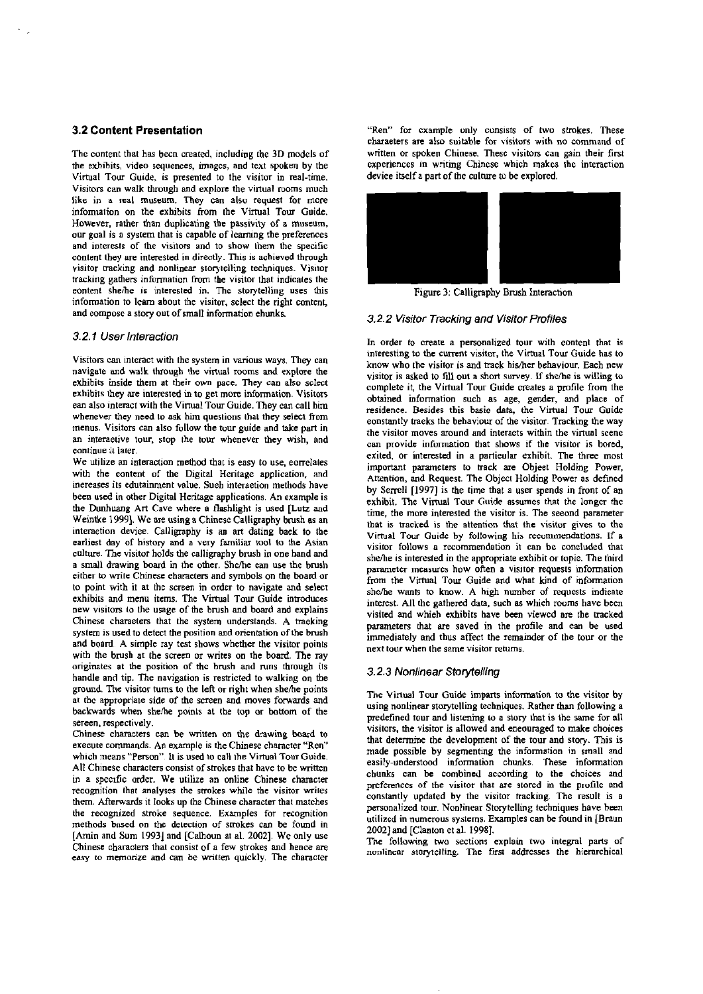# **3.2 Content Presentation**

The content that has been created, including the 3D models of the exhibits, video sequences, images, and text spoken by the Virtual Tour Guide, is presented to the visitor in real-time. Visitors can walk through and explore the virtual rooms much like in a real museum. They can also request for more information on the exhibits from the Virtual Tour Guide. However, rather than duplicating the passivity of a museum. our goal is a system that is capable of learning the preferences and interests of the visitors and to show them the specific content they are interested in directly. This is achieved through visitor tracking and nonlinear storytelling techniques. Visitor tracking gathers information from the visitor that indicates the eontent she/he is interested in. The storytelling uses this information to learn about the visitor, select the right content, and eompose a story out of small information ehunks.

# 3.2.1 User Interaction

Visitors can interact with the system in various ways. They can navigate and walk through the virtual rooms and explore the exhibits inside them at their own pace. They can also sclect exhibits they are interested in to get more information. Visitors ean also interact with the Virtual Tour Guide. They ean call him whenever they need to ask him questions that they select from menus. Visitors can also follow the tour guide and take part in an interactive tour, stop the tour whenever they wish, and eontinue it later.

We utilize an interaction method that is easy to use, correlates with the content of the Digital Heritage application, and inereases its edutainment value. Such interaction methods have been used in other Digital Heritage applications. An example is the Dunhuang Art Cave where a flashlight is used [Lutz and Weintke 1999]. We are using a Chinese Calligraphy brush as an interaction device. Calligraphy is an art dating back to the earliest day of history and a very familiar tool to the Asian culture. The visitor holds the calligraphy brush in one hand and a small drawing board in the other. She/he ean use the brush either to write Chinese eharacters and symbols on the board or to point with it at the screen in order to navigate and select exhibits and menu items. The Virtual Tour Guide introduces new visitors to the usage of the brush and board and explains Chinese characters that the system understands. A tracking system is used to detect the position and orientation of the brush and board. A simple ray test shows whether the visitor points with the brush at the screen or writes on the board. The ray originates at the position of the brush and runs through its handle and tip. The navigation is restricted to walking on the ground. The visitor turns to the left or right when she/he points at the appropriate side of the screen and moves forwards and backwards when she/he points at the top or bottom of the sereen, respectively.

Chinese characters can be written on the drawing board to execute commands. An example is the Chinese character "Ren" which means "Person". It is used to call the Virtual Tour Guide. All Chinese characters consist of strokes that have to be written in a speerfic order. We utilize an online Chinese character recognition that analyses the strokes while the visitor writes them. Afterwards it looks up the Chinese character that matches the recognized stroke sequence. Examples for recognition methods based on the detection of strokes can be found in [Amin and Sum 1993] and [Calhoun at al. 2002]. We only use Chinese characters that consist of a few strokes and hence are easy to memorize and can be written quickly. The character

"Ren" for example only consists of two strokes. These characters are also suitable for visitors with no command of written or spoken Chinese. These visitors can gain their first experiences in writing Chinese which makes the interaction device itself a part of the culture to be explored.



Figure 3: Calligraphy Brush Interaction

# 3.2.2 Visitor Tracking and Visitor Profiles

In order to create a personalized tour with content that is interesting to the current visitor, the Virtual Tour Guide has to know who the visitor is and track his/her behaviour. Each new visitor is asked to fill out a short survey. If she/he is willing to complete it, the Virtual Tour Guide creates a profile from the obtained information such as age, gender, and place of residence. Besides this basic data, the Virtual Tour Guide constantly tracks the behaviour of the visitor. Tracking the way the visitor moves around and interacts within the virtual scene can provide information that shows if the visitor is bored, exited, or interested in a particular exhibit. The three most important parameters to track are Object Holding Power. Attention, and Request. The Object Holding Power as defined by Serrell [1997] is the time that a user spends in front of an exhibit. The Virtual Tour Guide assumes that the longer the time, the more interested the visitor is. The seeond parameter that is tracked is the attention that the visitor gives to the Virtual Tour Guide by following his recommendations. If a visitor follows a recommendation it can be coneluded that she/he is interested in the appropriate exhibit or topie. The third parameter measures how often a visitor requests information from the Virtual Tour Guide and what kind of information she/he wants to know. A high number of requests indicate interest. All the gathered data, such as which rooms have been visited and which exhibits have been viewed are the tracked parameters that are saved in the profile and ean be used immediately and thus affect the remainder of the tour or the next tour when the same visitor returns.

## 3.2.3 Nonlinear Storytelling

The Virtual Tour Guide imparts information to the visitor by using nonlinear storytelling techniques. Rather than following a predefined tour and listening to a story that is the same for all visitors, the visitor is allowed and eneouraged to make choices that determine the development of the tour and story. This is made possible by segmenting the information in small and easily-understood information chunks. These information chunks can be combined according to the choices and preferences of the visitor that are stored in the profile and constantly updated by the visitor tracking. The result is a personalized tour. Nonlinear Storytelling techniques have been utilized in numerous systems. Examples can be found in [Braun 2002] and [Clanton et al. 1998].

The following two sections explain two integral parts of nonlinear storytelling. The first addresses the hierarchical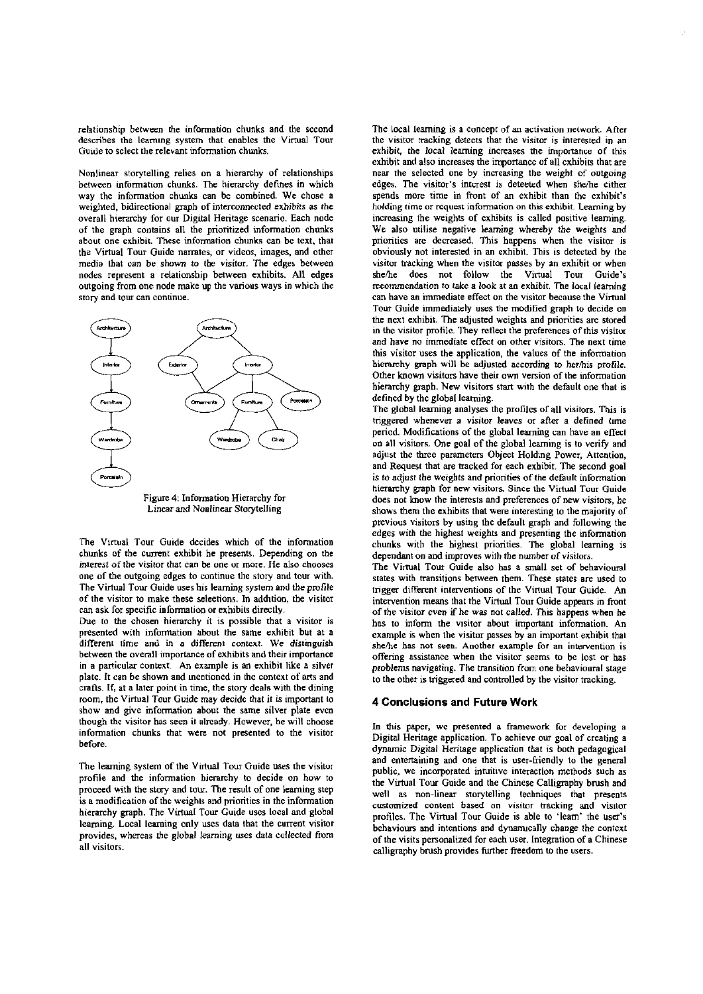relationship between the infomation chunks and the sccond describes the learning system that enables the Virtual Tour Guide to sclect the relevant information chunks.

Nonlinear storytelling relies **on** a hierarchy of relationships berween infomation chunks. **The** hierarchy defmes in which wav the infomation chunks can be combined. We Chose a weighted, bidirectional graph of interconnected exhibits as the overall hierarchy for our Digital Heritage scenario. Each node of the graph contains all the prioritized information chunks about one exhibit. These information chunks can be text, that the Vimial **Tour** Guide narrates, or videos, images. and other media that can be shown to the visitor. The edges between nodes represmt **a** relationship between exhibits. All edges outgoing from one node make up the various ways in which the story and tour **can** continue.



Figure 4: Information Hierarchy for Linear and Nonlinear Storytelling

The Virtual Tour Guide decides which of the information chunks of the current exhibit he presents. Depending on the interest of the visitor that **can be** une **ur mors.** lic **also** chooser one of the outgoing edges to continue the story and tour with. The Virtual Tour Guide uses his learning system and the profile af the visitor to make these seleetions. In addition, the visitor **can** ask for specific iofomiation **or** exhibits directly.

Due to the chosen hierarchy it is possible that a visitor is presented with infomtion abaut the same exhibit but at **a**  different time and in a different context. We distinguish between the overall importance of exhibits and their importance in a particular context. An example is an exhibit Iike **a** silver plate. It can be shown and inentioned in the context of arts and crafts. If, at a later point in time, the story deals with the dining room, the Virtual Tour Guide may decide that it is important to 3how and give infomiation about the same silver plate **even**  though thc visitor has **seen** it already. However, he will choore information chunks that were not presented to the visitor before.

The leaming system of the Vimial **Tour** Guide uses the visitor profile and the information hierarchy to decide on how to proceed with the story and tour. The result of one learning step is a modification of the weights and priorities in the infomation hierarchy graph. The Virtual Tour Guide uses loeal and global leaming. Local leaming only uses data that the current visitor provides, whereas the global learning uses data collected from all visitors.

The local leaming is **a** concept of an aciivatiun **neiwork.** After the visitor tracking detects that the visitor is interested in an exhibit, the local learning increases the importance of this exhibit and also increases the importancc of all cxhibits that **are**  near the selected one by increasing the weight of outgoing edges. The visitor's intcrest is deteeted when she/he cither spends more time in front of an exhibit than the exhibit's holding time **ar** request infamatian **on** this exhibit. Lesming by increasing the weights of exhibits is called positive leaming. We also utilise negative learning whereby the weights and prionties **are** decreased. This happens when the visitor is obviously not interested in an exhibit. This is detected by the visitar mcking when rhe visitor passes by an exhibit **or** when shehe does not follow the Virtual Tour Guide's recommendation to take a look at an exhibit. The local learning can have an immediate effect on the visitor because the Vimal Tour Guide immediately uses the modified graph to decide on the next exhibit. The adjusted weights and priorities are stored in the visitor profile. They retlect the preferences of this visitor and have **na** immediate effect **on** other visiton. The next time this visitor uses the application, the values of the information hierarchy graph will be adjusted according to her/his profile. Other known visitors have their own version of the information hierarchy graph. New visitors start with the default one that is defined by the global leaming.

The global learning analyses the profiles of all visitors. This is mggered whenever a visitor leaves or after **a** defined time period. Modifications of the global leaming **can** have an effect on all visitors. One goal of the global learning is to verify and adjust the three parameters Object Holding Power, Attention, and Request that **are** tracked for each exhibit. The second goal is to adjust the weights and priorities of the default information hierarchy graph for new visitors. Since the Virtual Tour Guide does not know the interests and preferences of new visitors, he shows them the exhibits that were interesting to the majority of previous visitors by using the default graph and following the edges with the highest weights and presenting the information chunks with the highest priorities. The global learning is dependanr **on** and improves with the nwnber of visitors.

The Virtual Tour Guide also has a small set of behavioural states with transitions between them. These states are used to trigger different interventions of the Virtual Tour Guide. An intervention means that the Vimial Tour Guide appars in front of the visitor even if he was not called. This happens when he has to infom the visitor about important infomation. An example is when the visitor passes by an important exhibit that she/he has not seen. Another example for an intervention is offering assistance when the visitor seems to be lost **or** has problems navigating. The transition from one behavioural stage to the other is triggered and controlled by the visitor tracking.

#### 4 **Conclusions and Future Work**

In **this papcr,** wc presented **s** framwork for developing **a**  Digital Heritage application. To aehieve ow goal of crcaling **a**  dynamic Digital Heritage application that is both pedagogical and entertaining and one that is user-friendly to the general public, we incorporated intuitive interaction metbods such **as**  the Virtual Tour Guide and the Chinese Calligraphy brush and well **as** non-linear storytelling techniques that presents customized content based on visitor tracking and visitor profiles. The Virtual Tour Guide is able to 'learn' the user's behaviours and intentions and dynamically change the context of the visits personalized for each user. Integration of a Chinese calligraphy brush provides further freedom to the users.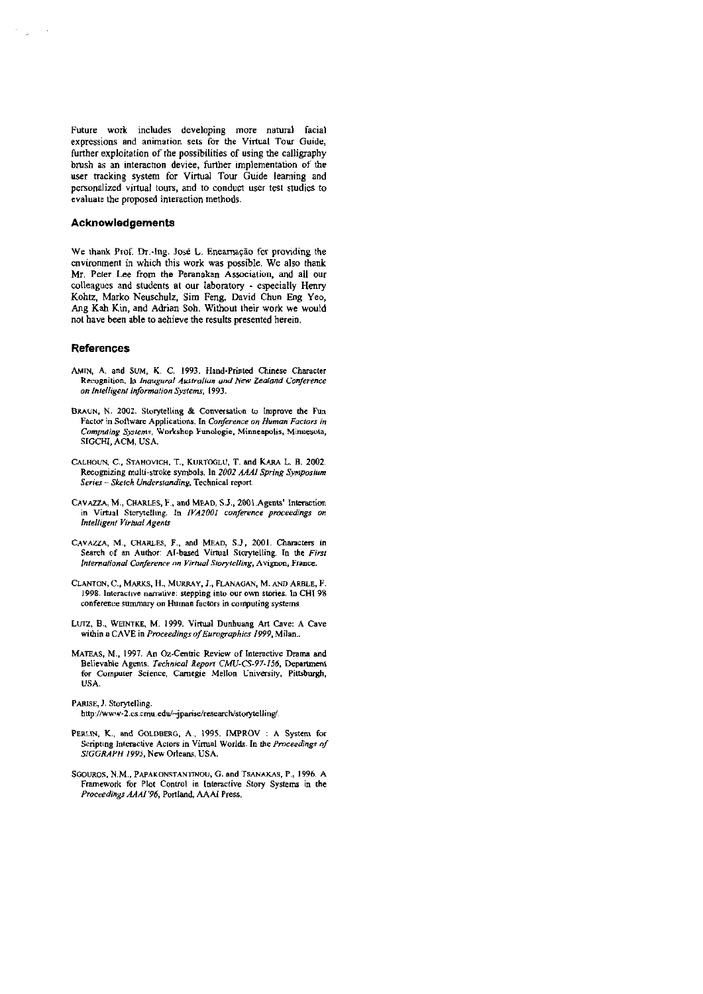Future work includes developing more natural facial expressions and animation sets for the Virtual Tour Guide, further exploitation of the possibilities of using the calligraphy brush as an interaction device, further implementation of the user tracking system for Virtual Tour Guide learning and personalized virtual tours, and to conduct user test studies to evaluate the proposed interaction methods.

#### **Acknowledgements**

We thank Prof. Dr.-Ing. José L. Enearnação for providing the environment in which this work was possible. We also thank Mr. Peter Lee from the Peranakan Association, and all our colleagues and students at our laboratory - especially Henry Kohtz, Marko Neuschulz, Sim Feng, David Chun Eng Yeo, Ang Kah Kin, and Adrian Soh. Without their work we would not have been able to achieve the results presented herein.

#### **References**

- AMIN, A. and SUM, K. C. 1993. Hand-Printed Chinese Character Recognition. In Inaugural Australian and New Zealand Conference on Intelligent Information Systems, 1993.
- BRAUN, N. 2002. Storytelling & Conversation to Improve the Fun Factor in Software Applications. In Conference on Human Factors in Computing Systems, Workshop Funologie, Minneapolis, Minnesota, SIGCHI, ACM, USA.
- CALHOUN, C., STAHOVICH, T., KURTOGLU, T. and KARA L. B. 2002. Recognizing multi-stroke symbols. In 2002 AAAI Spring Symposium Series - Sketch Understanding, Technical report.
- CAVAZZA, M., CHARLES, F., and MEAD, S.J., 2001.Agents' Interaction in Virtual Storytelling. In IVA2001 conference proceedings on Intelligent Virtual Agents
- CAVAZZA, M., CHARLES, F., and MEAD, S.J., 2001. Characters in Search of an Author: Al-based Virtual Storytelling. In the First International Conference on Virtual Storytelling, Avignon, France.
- CLANTON, C., MARKS, H., MURRAY, J., FLANAGAN, M. AND ARBLE, F. 1998. Interactive narrative: stepping into our own stories. In CHI 98 conference summary on Human factors in computing systems.
- LUTZ, B., WEINTKE, M. 1999. Virtual Dunhuang Art Cave: A Cave within a CAVE in Proceedings of Eurographics 1999, Milan..
- MATEAS, M., 1997. An Oz-Centric Review of Interactive Drama and Believable Agents. Technical Report CMU-CS-97-156, Department for Computer Science, Carnegie Mellon University, Pittsburgh, USA.
- PARISE, J. Storytelling. http://www-2.cs.cmu.edu/~iparise/research/storytelling/.
- PERLIN, K., and GOLDBERG, A., 1995. JMPROV: A System for Scripting Interactive Actors in Virtual Worlds. In the Proceedings of SIGGRAPH 1995. New Orleans, USA.
- SGOUROS, N.M., PAPAKONSTANTINOU, G. and TSANAKAS, P., 1996. A Framework for Plot Control in Interactive Story Systems in the Proceedings AAAI'96, Portland, AAAI Press,